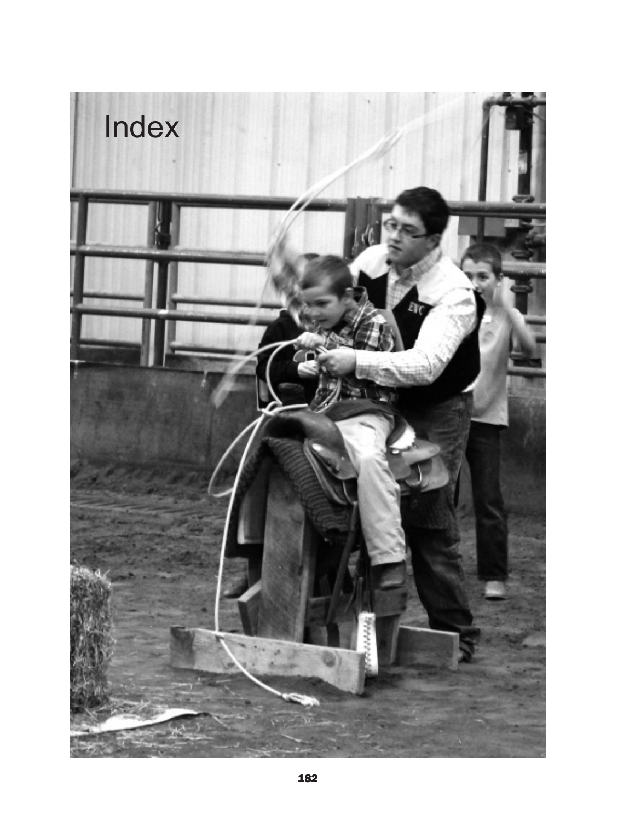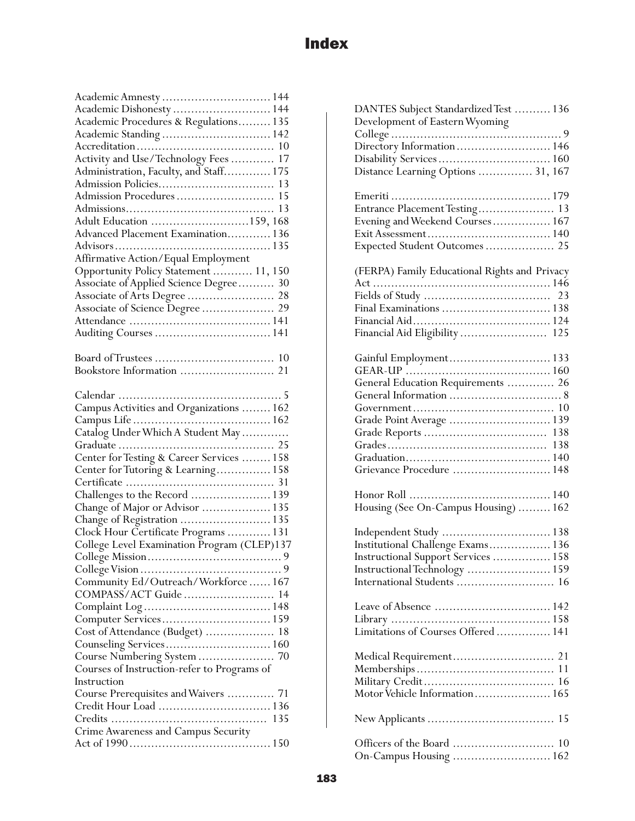| Academic Amnesty  144                       |
|---------------------------------------------|
| Academic Dishonesty  144                    |
| Academic Procedures & Regulations 135       |
| Academic Standing  142                      |
|                                             |
| Activity and Use/Technology Fees  17        |
|                                             |
|                                             |
|                                             |
|                                             |
| Adult Education 159, 168                    |
| Advanced Placement Examination 136          |
|                                             |
|                                             |
| Affirmative Action/Equal Employment         |
| Opportunity Policy Statement  11, 150       |
| Associate of Applied Science Degree 30      |
| Associate of Arts Degree  28                |
| Associate of Science Degree  29             |
|                                             |
|                                             |
|                                             |
|                                             |
|                                             |
|                                             |
|                                             |
|                                             |
|                                             |
|                                             |
|                                             |
|                                             |
| Center for Testing & Career Services  158   |
|                                             |
|                                             |
| Challenges to the Record  139               |
| Change of Major or Advisor  135             |
| Change of Registration  135                 |
| Clock Hour Certificate Programs  131        |
| College Level Examination Program (CLEP)137 |
|                                             |
|                                             |
| Community Ed/Outreach/Workforce 167         |
| COMPASS/ACT Guide 14                        |
|                                             |
|                                             |
| Cost of Attendance (Budget)<br>18           |
| Counseling Services 160                     |
| Course Numbering System  70                 |
| Courses of Instruction-refer to Programs of |
| Instruction                                 |
|                                             |
| Course Prerequisites and Waivers  71        |
| Credit Hour Load  136                       |
|                                             |
|                                             |
| Crime Awareness and Campus Security         |

| DANTES Subject Standardized Test  136<br>Development of Eastern Wyoming |
|-------------------------------------------------------------------------|
| Directory Information 146                                               |
|                                                                         |
| Distance Learning Options  31, 167                                      |
|                                                                         |
| Entrance Placement Testing 13                                           |
| Evening and Weekend Courses 167                                         |
| Expected Student Outcomes 25                                            |
| (FERPA) Family Educational Rights and Privacy                           |
|                                                                         |
|                                                                         |
| Final Examinations  138                                                 |
|                                                                         |
| Financial Aid Eligibility  125                                          |
| Gainful Employment 133                                                  |
|                                                                         |
| General Education Requirements  26                                      |
|                                                                         |
|                                                                         |
| Grade Point Average  139                                                |
|                                                                         |
|                                                                         |
| Grievance Procedure  148                                                |
| Housing (See On-Campus Housing)  162                                    |
| Independent Study  138                                                  |
| Institutional Challenge Exams 136                                       |
| Instructional Support Services  158                                     |
| Instructional Technology  159                                           |
| International Students  16                                              |
|                                                                         |
|                                                                         |
| Limitations of Courses Offered 141                                      |
|                                                                         |
|                                                                         |
|                                                                         |
| Motor Vehicle Information 165                                           |
|                                                                         |
|                                                                         |
| On-Campus Housing  162                                                  |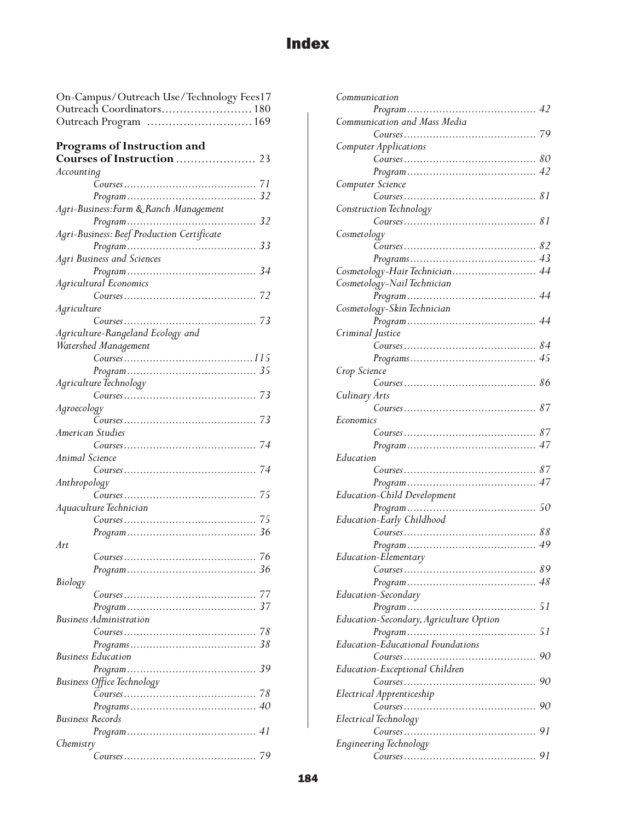## **Index**

| On-Campus/Outreach Use/Technology Fees17   |  |  |  |  |
|--------------------------------------------|--|--|--|--|
| Outreach Coordinators 180                  |  |  |  |  |
| Outreach Program  169                      |  |  |  |  |
|                                            |  |  |  |  |
| Programs of Instruction and                |  |  |  |  |
|                                            |  |  |  |  |
| Accounting                                 |  |  |  |  |
|                                            |  |  |  |  |
|                                            |  |  |  |  |
| Agri-Business: Farm & Ranch Management     |  |  |  |  |
|                                            |  |  |  |  |
| Agri-Business: Beef Production Certificate |  |  |  |  |
|                                            |  |  |  |  |
| Agri Business and Sciences                 |  |  |  |  |
|                                            |  |  |  |  |
| Agricultural Economics                     |  |  |  |  |
|                                            |  |  |  |  |
| Agriculture                                |  |  |  |  |
|                                            |  |  |  |  |
| Agriculture-Rangeland Ecology and          |  |  |  |  |
| Watershed Management                       |  |  |  |  |
|                                            |  |  |  |  |
|                                            |  |  |  |  |
| Agriculture Technology                     |  |  |  |  |
|                                            |  |  |  |  |
|                                            |  |  |  |  |
| Agroecology                                |  |  |  |  |
| American Studies                           |  |  |  |  |
|                                            |  |  |  |  |
| Animal Science                             |  |  |  |  |
|                                            |  |  |  |  |
|                                            |  |  |  |  |
| Anthropology                               |  |  |  |  |
|                                            |  |  |  |  |
| Aquaculture Technician                     |  |  |  |  |
|                                            |  |  |  |  |
|                                            |  |  |  |  |
| Art                                        |  |  |  |  |
|                                            |  |  |  |  |
|                                            |  |  |  |  |
| Biology                                    |  |  |  |  |
|                                            |  |  |  |  |
|                                            |  |  |  |  |
| Business Administration                    |  |  |  |  |
|                                            |  |  |  |  |
|                                            |  |  |  |  |
| Business Education                         |  |  |  |  |
|                                            |  |  |  |  |
| <b>Business Office Technology</b>          |  |  |  |  |
|                                            |  |  |  |  |
|                                            |  |  |  |  |
| Business Records                           |  |  |  |  |
|                                            |  |  |  |  |
| Chemistry                                  |  |  |  |  |
|                                            |  |  |  |  |

| Communication                           |    |
|-----------------------------------------|----|
|                                         |    |
| Communication and Mass Media            |    |
|                                         |    |
| Computer Applications                   |    |
|                                         |    |
|                                         |    |
| Computer Science                        |    |
| Course. 81                              |    |
| Construction Technology                 |    |
| Course. 81                              |    |
| Cosmetology                             |    |
|                                         |    |
|                                         |    |
| Cosmetology-Hair Technician 44          |    |
| Cosmetology-Nail Technician             |    |
|                                         |    |
| Cosmetology-Skin Technician             |    |
|                                         |    |
|                                         |    |
| Criminal Justice                        |    |
|                                         |    |
|                                         |    |
| Crop Science                            |    |
|                                         |    |
| Culinary Arts                           |    |
|                                         |    |
| Economics                               |    |
|                                         |    |
|                                         |    |
| Education                               |    |
|                                         |    |
|                                         |    |
| Education-Child Development             |    |
|                                         |    |
| Education-Early Childhood               |    |
|                                         |    |
|                                         |    |
| Education-Elementary                    |    |
|                                         |    |
|                                         |    |
| Education-Secondary                     |    |
|                                         |    |
| Education-Secondary, Agriculture Option |    |
|                                         | 51 |
| Education-Educational Foundations       |    |
|                                         |    |
| Education-Exceptional Children          |    |
|                                         |    |
|                                         |    |
| Electrical Apprenticeship               |    |
|                                         |    |
| Electrical Technology                   |    |
|                                         |    |
| Engineering Technology                  |    |
|                                         |    |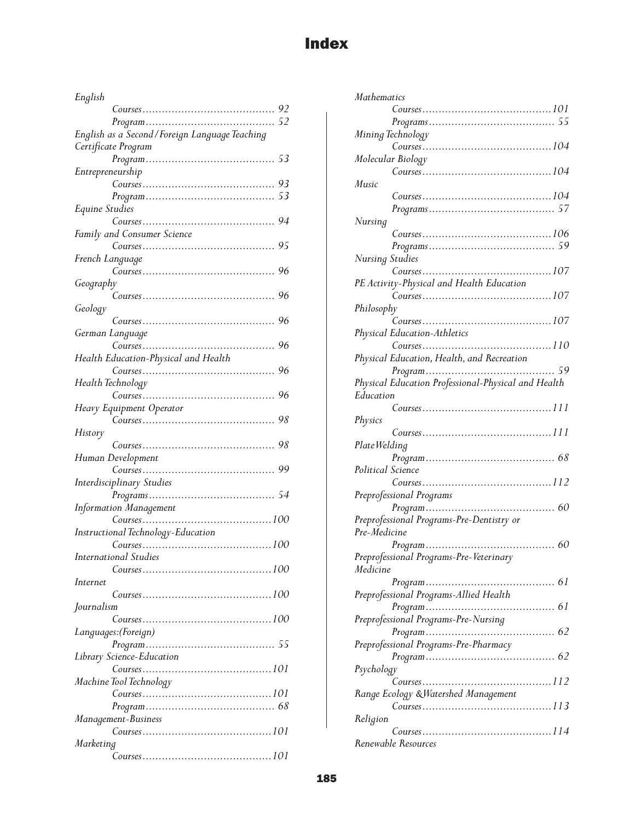## Index

| English                                         |
|-------------------------------------------------|
|                                                 |
|                                                 |
| English as a Second / Foreign Language Teaching |
| Certificate Program                             |
|                                                 |
| Entrepreneurship                                |
|                                                 |
|                                                 |
| Equine Studies                                  |
|                                                 |
| Family and Consumer Science                     |
|                                                 |
| French Language                                 |
|                                                 |
|                                                 |
| Geography<br>96                                 |
|                                                 |
| Geology                                         |
| 96                                              |
| German Language                                 |
| 96                                              |
| Health Education-Physical and Health            |
| 96                                              |
| Health Technology                               |
|                                                 |
| Heavy Equipment Operator                        |
|                                                 |
| History                                         |
| 98                                              |
| Human Development                               |
|                                                 |
| 99                                              |
|                                                 |
| <b>Interdisciplinary Studies</b>                |
|                                                 |
|                                                 |
|                                                 |
| Instructional Technology-Education              |
|                                                 |
| International Studies                           |
|                                                 |
| Internet                                        |
| Course. 100                                     |
| Journalism                                      |
|                                                 |
| Languages: (Foreign)                            |
|                                                 |
| Library Science-Education                       |
|                                                 |
| Machine Tool Technology                         |
|                                                 |
|                                                 |
| Management-Business                             |
| Course 101                                      |
| Marketing                                       |

| <b>Mathematics</b>                                  |                                                     |
|-----------------------------------------------------|-----------------------------------------------------|
|                                                     |                                                     |
|                                                     |                                                     |
| Mining Technology                                   |                                                     |
|                                                     |                                                     |
| Molecular Biology                                   |                                                     |
|                                                     | Course. 104                                         |
| Music                                               |                                                     |
|                                                     |                                                     |
|                                                     |                                                     |
| Nursing                                             |                                                     |
|                                                     |                                                     |
|                                                     |                                                     |
| Nursing Studies                                     |                                                     |
|                                                     |                                                     |
| PE Activity-Physical and Health Education           |                                                     |
|                                                     | Course. 107                                         |
| Philosophy                                          |                                                     |
|                                                     |                                                     |
| Physical Education-Athletics                        |                                                     |
|                                                     |                                                     |
| Physical Education, Health, and Recreation          |                                                     |
|                                                     |                                                     |
|                                                     |                                                     |
|                                                     | Physical Education Professional-Physical and Health |
| Education                                           |                                                     |
|                                                     |                                                     |
|                                                     |                                                     |
| Physics                                             |                                                     |
|                                                     |                                                     |
| Plate Welding                                       |                                                     |
|                                                     |                                                     |
| Political Science                                   |                                                     |
|                                                     |                                                     |
| Preprofessional Programs                            |                                                     |
|                                                     |                                                     |
| Preprofessional Programs-Pre-Dentistry or           |                                                     |
| Pre-Medicine                                        |                                                     |
|                                                     |                                                     |
|                                                     |                                                     |
| Preprofessional Programs-Pre-Veterinary<br>Medicine |                                                     |
|                                                     |                                                     |
|                                                     |                                                     |
| Preprofessional Programs-Allied Health              |                                                     |
|                                                     |                                                     |
| Preprofessional Programs-Pre-Nursing                |                                                     |
|                                                     |                                                     |
| Preprofessional Programs-Pre-Pharmacy               |                                                     |
|                                                     |                                                     |
| Psychology                                          |                                                     |
|                                                     |                                                     |
| Range Ecology & Watershed Management                |                                                     |
|                                                     |                                                     |
| Religion                                            |                                                     |
| Renewable Resources                                 |                                                     |